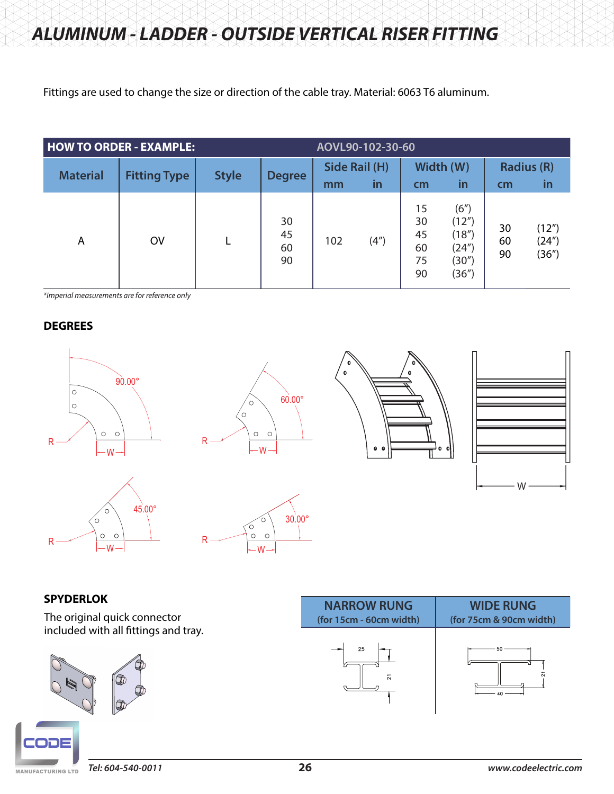Fittings are used to change the size or direction of the cable tray. Material: 6063 T6 aluminum.

| <b>HOW TO ORDER - EXAMPLE:</b> |                     |              | AOVL90-102-30-60     |               |           |                                  |                                                   |                   |                         |
|--------------------------------|---------------------|--------------|----------------------|---------------|-----------|----------------------------------|---------------------------------------------------|-------------------|-------------------------|
| <b>Material</b>                | <b>Fitting Type</b> | <b>Style</b> | <b>Degree</b>        | Side Rail (H) |           | Width (W)                        |                                                   | <b>Radius (R)</b> |                         |
|                                |                     |              |                      | mm            | <b>in</b> | cm                               | <u>in</u>                                         | cm                | in                      |
| A                              | <b>OV</b>           |              | 30<br>45<br>60<br>90 | 102           | (4")      | 15<br>30<br>45<br>60<br>75<br>90 | (6")<br>(12")<br>(18")<br>(24")<br>(30")<br>(36") | 30<br>60<br>90    | (12")<br>(24")<br>(36") |

*\*Imperial measurements are for reference only*

# **DEGREES**



















### **SPYDERLOK**

The original quick connector included with all fittings and tray.



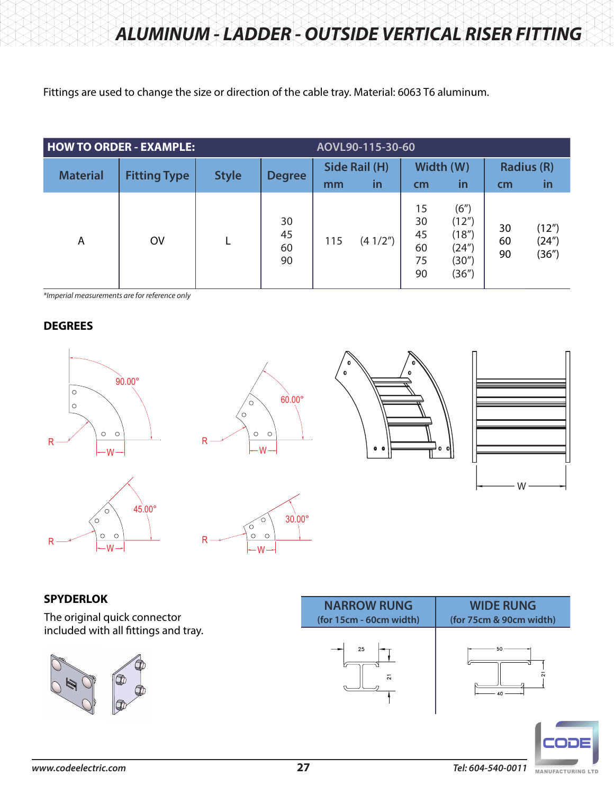Fittings are used to change the size or direction of the cable tray. Material: 6063 T6 aluminum.

| <b>HOW TO ORDER - EXAMPLE:</b> |                     |              | AOVL90-115-30-60     |               |           |                                  |                                                   |                   |                         |
|--------------------------------|---------------------|--------------|----------------------|---------------|-----------|----------------------------------|---------------------------------------------------|-------------------|-------------------------|
| <b>Material</b>                | <b>Fitting Type</b> | <b>Style</b> | <b>Degree</b>        | Side Rail (H) |           | Width (W)                        |                                                   | <b>Radius (R)</b> |                         |
|                                |                     |              |                      | mm            | <b>in</b> | cm                               | <u>in</u>                                         | cm                | in                      |
| A                              | <b>OV</b>           |              | 30<br>45<br>60<br>90 | 115           | (41/2")   | 15<br>30<br>45<br>60<br>75<br>90 | (6")<br>(12")<br>(18")<br>(24")<br>(30")<br>(36") | 30<br>60<br>90    | (12")<br>(24")<br>(36") |

*\*Imperial measurements are for reference only*

# **DEGREES**













# **SPYDERLOK**

The original quick connector included with all fittings and tray.



| <b>NARROW RUNG</b>      | <b>WIDE RUNG</b>        |
|-------------------------|-------------------------|
| (for 15cm - 60cm width) | (for 75cm & 90cm width) |
| 25<br>ឆ                 | 50<br>Ń<br>.∩           |